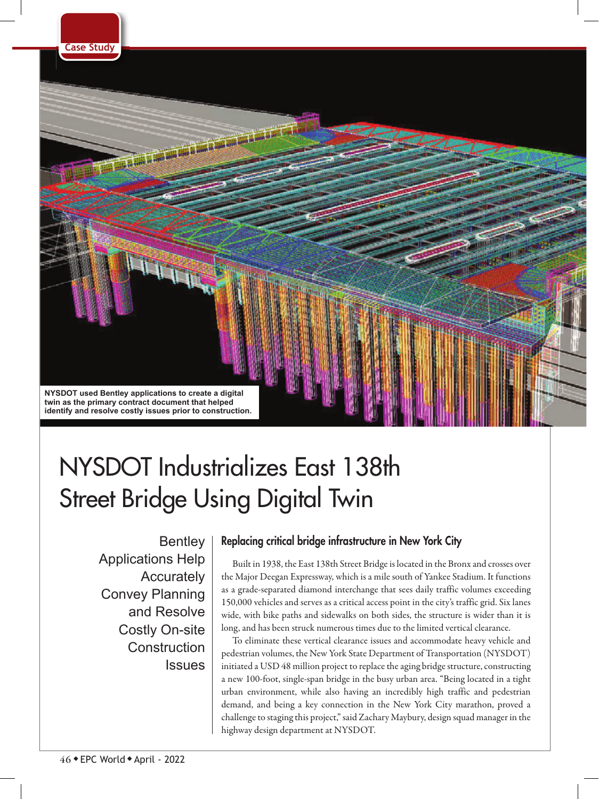

# NYSDOT Industrializes East 138th Street Bridge Using Digital Twin

**Bentley** Applications Help **Accurately** Convey Planning and Resolve Costly On-site **Construction Issues** 

# Replacing critical bridge infrastructure in New York City

Built in 1938, the East 138th Street Bridge is located in the Bronx and crosses over the Major Deegan Expressway, which is a mile south of Yankee Stadium. It functions as a grade-separated diamond interchange that sees daily traffic volumes exceeding 150,000 vehicles and serves as a critical access point in the city's traffic grid. Six lanes wide, with bike paths and sidewalks on both sides, the structure is wider than it is long, and has been struck numerous times due to the limited vertical clearance.

To eliminate these vertical clearance issues and accommodate heavy vehicle and pedestrian volumes, the New York State Department of Transportation (NYSDOT) initiated a USD 48 million project to replace the aging bridge structure, constructing a new 100-foot, single-span bridge in the busy urban area. "Being located in a tight urban environment, while also having an incredibly high traffic and pedestrian demand, and being a key connection in the New York City marathon, proved a challenge to staging this project," said Zachary Maybury, design squad manager in the highway design department at NYSDOT.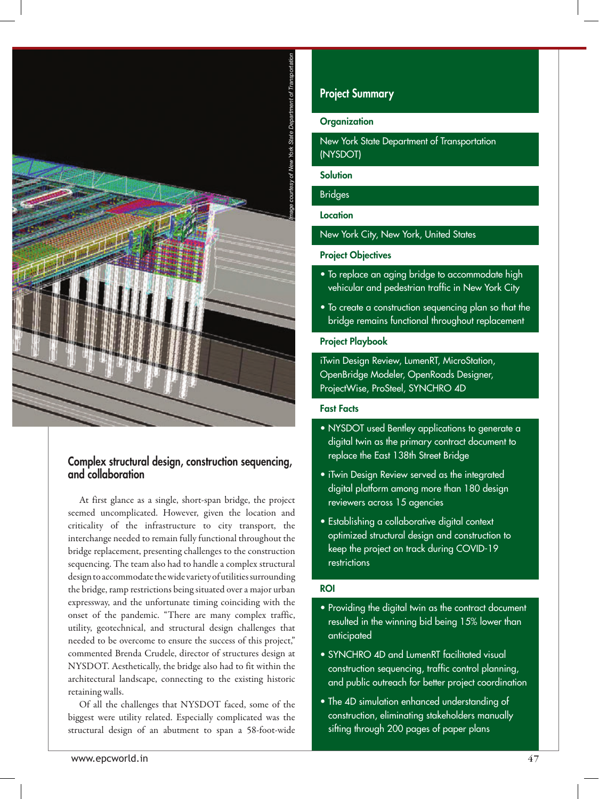

## Complex structural design, construction sequencing, and collaboration

At first glance as a single, short-span bridge, the project seemed uncomplicated. However, given the location and criticality of the infrastructure to city transport, the interchange needed to remain fully functional throughout the bridge replacement, presenting challenges to the construction sequencing. The team also had to handle a complex structural design to accommodate the wide variety of utilities surrounding the bridge, ramp restrictions being situated over a major urban expressway, and the unfortunate timing coinciding with the onset of the pandemic. "There are many complex traffic, utility, geotechnical, and structural design challenges that needed to be overcome to ensure the success of this project," commented Brenda Crudele, director of structures design at NYSDOT. Aesthetically, the bridge also had to fit within the architectural landscape, connecting to the existing historic retaining walls.

Of all the challenges that NYSDOT faced, some of the biggest were utility related. Especially complicated was the

## Project Summary

## **Organization**

New York State Department of Transportation (NYSDOT)

**Solution** 

## Bridges

**Location** 

New York City, New York, United States

## Project Objectives

- To replace an aging bridge to accommodate high vehicular and pedestrian traffic in New York City
- To create a construction sequencing plan so that the bridge remains functional throughout replacement

#### Project Playbook

iTwin Design Review, LumenRT, MicroStation, OpenBridge Modeler, OpenRoads Designer, ProjectWise, ProSteel, SYNCHRO 4D

## Fast Facts

- NYSDOT used Bentley applications to generate a digital twin as the primary contract document to replace the East 138th Street Bridge
- iTwin Design Review served as the integrated digital platform among more than 180 design reviewers across 15 agencies
- Establishing a collaborative digital context optimized structural design and construction to keep the project on track during COVID-19 restrictions

### ROI

- Providing the digital twin as the contract document resulted in the winning bid being 15% lower than anticipated
- SYNCHRO 4D and LumenRT facilitated visual construction sequencing, traffic control planning, and public outreach for better project coordination
- The 4D simulation enhanced understanding of construction, eliminating stakeholders manually sifting through 200 pages of paper plans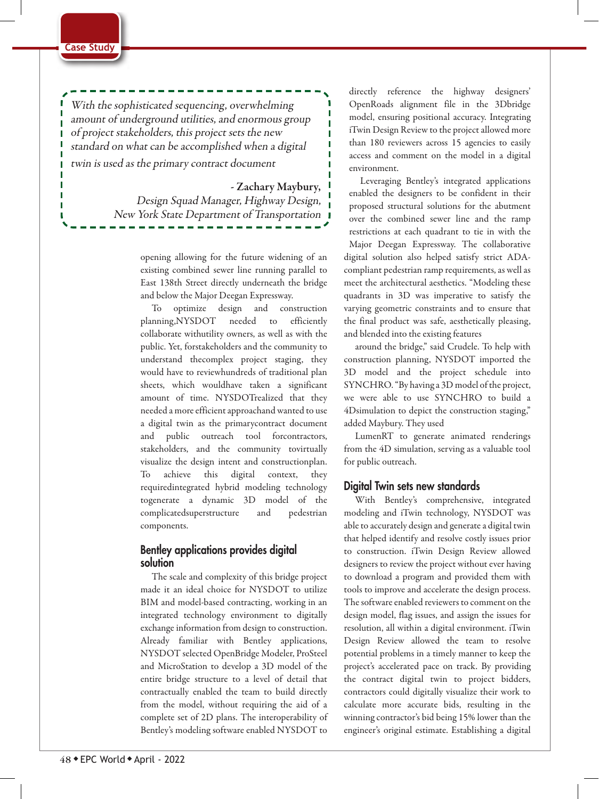#### **Case Study**

With the sophisticated sequencing, overwhelming amount of underground utilities, and enormous group of project stakeholders, this project sets the new standard on what can be accomplished when a digital twin is used as the primary contract document

- Zachary Maybury,

П

Design Squad Manager, Highway Design, New York State Department of Transportation

> opening allowing for the future widening of an existing combined sewer line running parallel to East 138th Street directly underneath the bridge and below the Major Deegan Expressway.

To optimize design and construction planning,NYSDOT needed to efficiently collaborate withutility owners, as well as with the public. Yet, forstakeholders and the community to understand thecomplex project staging, they would have to reviewhundreds of traditional plan sheets, which wouldhave taken a significant amount of time. NYSDOTrealized that they needed a more efficient approachand wanted to use a digital twin as the primarycontract document and public outreach tool forcontractors, stakeholders, and the community tovirtually visualize the design intent and constructionplan. To achieve this digital context, they requiredintegrated hybrid modeling technology togenerate a dynamic 3D model of the complicatedsuperstructure and pedestrian components.

## Bentley applications provides digital solution

The scale and complexity of this bridge project made it an ideal choice for NYSDOT to utilize BIM and model-based contracting, working in an integrated technology environment to digitally exchange information from design to construction. Already familiar with Bentley applications, NYSDOT selected OpenBridge Modeler, ProSteel and MicroStation to develop a 3D model of the entire bridge structure to a level of detail that contractually enabled the team to build directly from the model, without requiring the aid of a complete set of 2D plans. The interoperability of Bentley's modeling software enabled NYSDOT to

directly reference the highway designers' OpenRoads alignment file in the 3Dbridge model, ensuring positional accuracy. Integrating iTwin Design Review to the project allowed more than 180 reviewers across 15 agencies to easily access and comment on the model in a digital environment.

Leveraging Bentley's integrated applications enabled the designers to be confident in their proposed structural solutions for the abutment over the combined sewer line and the ramp restrictions at each quadrant to tie in with the Major Deegan Expressway. The collaborative digital solution also helped satisfy strict ADAcompliant pedestrian ramp requirements, as well as meet the architectural aesthetics. "Modeling these quadrants in 3D was imperative to satisfy the varying geometric constraints and to ensure that the final product was safe, aesthetically pleasing, and blended into the existing features

around the bridge," said Crudele. To help with construction planning, NYSDOT imported the 3D model and the project schedule into SYNCHRO. "By having a 3D model of the project, we were able to use SYNCHRO to build a 4Dsimulation to depict the construction staging," added Maybury. They used

LumenRT to generate animated renderings from the 4D simulation, serving as a valuable tool for public outreach.

## Digital Twin sets new standards

With Bentley's comprehensive, integrated modeling and iTwin technology, NYSDOT was able to accurately design and generate a digital twin that helped identify and resolve costly issues prior to construction. iTwin Design Review allowed designers to review the project without ever having to download a program and provided them with tools to improve and accelerate the design process. The software enabled reviewers to comment on the design model, flag issues, and assign the issues for resolution, all within a digital environment. iTwin Design Review allowed the team to resolve potential problems in a timely manner to keep the project's accelerated pace on track. By providing the contract digital twin to project bidders, contractors could digitally visualize their work to calculate more accurate bids, resulting in the winning contractor's bid being 15% lower than the engineer's original estimate. Establishing a digital